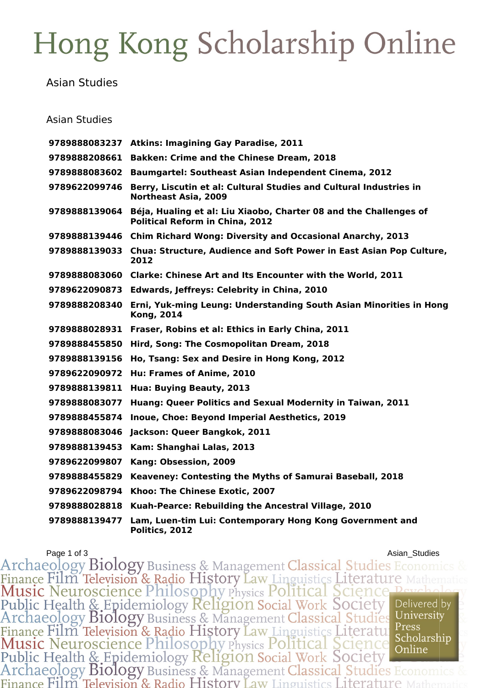## Hong Kong Scholarship Online

Asian Studies

## Asian Studies

|               | 9789888083237 Atkins: Imagining Gay Paradise, 2011                                                          |
|---------------|-------------------------------------------------------------------------------------------------------------|
| 9789888208661 | <b>Bakken: Crime and the Chinese Dream, 2018</b>                                                            |
| 9789888083602 | <b>Baumgartel: Southeast Asian Independent Cinema, 2012</b>                                                 |
| 9789622099746 | Berry, Liscutin et al: Cultural Studies and Cultural Industries in<br><b>Northeast Asia, 2009</b>           |
| 9789888139064 | Béja, Hualing et al: Liu Xiaobo, Charter 08 and the Challenges of<br><b>Political Reform in China, 2012</b> |
|               | 9789888139446 Chim Richard Wong: Diversity and Occasional Anarchy, 2013                                     |
|               | 9789888139033 Chua: Structure, Audience and Soft Power in East Asian Pop Culture,<br>2012                   |
|               | 9789888083060 Clarke: Chinese Art and Its Encounter with the World, 2011                                    |
|               | 9789622090873 Edwards, Jeffreys: Celebrity in China, 2010                                                   |
| 9789888208340 | Erni, Yuk-ming Leung: Understanding South Asian Minorities in Hong<br><b>Kong, 2014</b>                     |
| 9789888028931 | Fraser, Robins et al: Ethics in Early China, 2011                                                           |
| 9789888455850 | Hird, Song: The Cosmopolitan Dream, 2018                                                                    |
| 9789888139156 | Ho, Tsang: Sex and Desire in Hong Kong, 2012                                                                |
| 9789622090972 | Hu: Frames of Anime, 2010                                                                                   |
| 9789888139811 | Hua: Buying Beauty, 2013                                                                                    |
| 9789888083077 | Huang: Queer Politics and Sexual Modernity in Taiwan, 2011                                                  |
| 9789888455874 | Inoue, Choe: Beyond Imperial Aesthetics, 2019                                                               |
| 9789888083046 | Jackson: Queer Bangkok, 2011                                                                                |
| 9789888139453 | Kam: Shanghai Lalas, 2013                                                                                   |
| 9789622099807 | Kang: Obsession, 2009                                                                                       |
| 9789888455829 | Keaveney: Contesting the Myths of Samurai Baseball, 2018                                                    |
| 9789622098794 | Khoo: The Chinese Exotic, 2007                                                                              |
| 9789888028818 | Kuah-Pearce: Rebuilding the Ancestral Village, 2010                                                         |
| 9789888139477 | Lam, Luen-tim Lui: Contemporary Hong Kong Government and<br>Politics, 2012                                  |

Page 1 of 3<br>Archaeology Biology Business & Management Classical Studies Economics Finance Film Television & Radio History Law Linguistics Literature Math<br>Music Neuroscience Philosophy Physics Political Science Peych<br>Public Health & Epidemiology Religion Social Work Society<br>Archaeology Biology Business & Delivered by University Finance Film Television & Radio History Law Linguistics Literatule Press<br>Music Neuroscience Philosophy Physics Political Science Scholarship<br>Public Health & Epidemiology Religion Social Work Society<br>Archaeology Biology Bus Press Scholarship Finance Film Television & Radio History Law Linguistics Literature N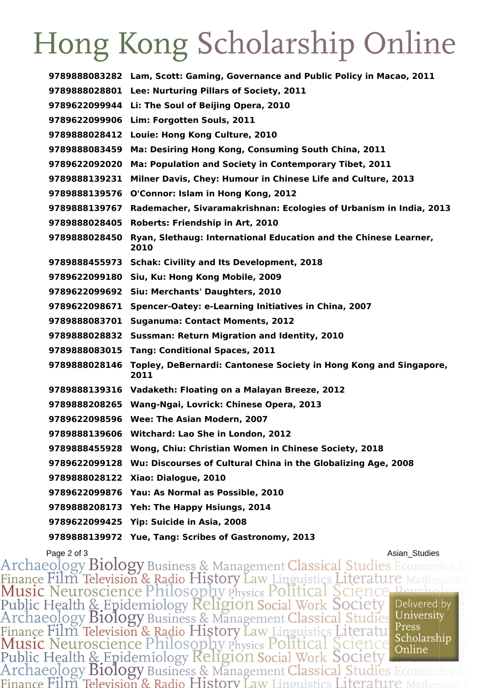## Hong Kong Scholarship Online

| 9789888083282 | Lam, Scott: Gaming, Governance and Public Policy in Macao, 2011           |
|---------------|---------------------------------------------------------------------------|
| 9789888028801 | Lee: Nurturing Pillars of Society, 2011                                   |
| 9789622099944 | Li: The Soul of Beijing Opera, 2010                                       |
| 9789622099906 | Lim: Forgotten Souls, 2011                                                |
| 9789888028412 | Louie: Hong Kong Culture, 2010                                            |
| 9789888083459 | Ma: Desiring Hong Kong, Consuming South China, 2011                       |
| 9789622092020 | Ma: Population and Society in Contemporary Tibet, 2011                    |
| 9789888139231 | Milner Davis, Chey: Humour in Chinese Life and Culture, 2013              |
| 9789888139576 | O'Connor: Islam in Hong Kong, 2012                                        |
| 9789888139767 | Rademacher, Sivaramakrishnan: Ecologies of Urbanism in India, 2013        |
| 9789888028405 | Roberts: Friendship in Art, 2010                                          |
| 9789888028450 | Ryan, Slethaug: International Education and the Chinese Learner,<br>2010  |
| 9789888455973 | <b>Schak: Civility and Its Development, 2018</b>                          |
| 9789622099180 | Siu, Ku: Hong Kong Mobile, 2009                                           |
| 9789622099692 | Siu: Merchants' Daughters, 2010                                           |
| 9789622098671 | Spencer-Oatey: e-Learning Initiatives in China, 2007                      |
| 9789888083701 | <b>Suganuma: Contact Moments, 2012</b>                                    |
| 9789888028832 | Sussman: Return Migration and Identity, 2010                              |
| 9789888083015 | <b>Tang: Conditional Spaces, 2011</b>                                     |
| 9789888028146 | Topley, DeBernardi: Cantonese Society in Hong Kong and Singapore,<br>2011 |
|               | 9789888139316 Vadaketh: Floating on a Malayan Breeze, 2012                |
| 9789888208265 | Wang-Ngai, Lovrick: Chinese Opera, 2013                                   |
| 9789622098596 | Wee: The Asian Modern, 2007                                               |
|               | 9789888139606 Witchard: Lao She in London, 2012                           |
|               | 9789888455928 Wong, Chiu: Christian Women in Chinese Society, 2018        |
| 9789622099128 | Wu: Discourses of Cultural China in the Globalizing Age, 2008             |
| 9789888028122 | Xiao: Dialogue, 2010                                                      |
| 9789622099876 | Yau: As Normal as Possible, 2010                                          |
| 9789888208173 | Yeh: The Happy Hsiungs, 2014                                              |
| 9789622099425 | Yip: Suicide in Asia, 2008                                                |
|               | 9789888139972 Yue, Tang: Scribes of Gastronomy, 2013                      |

Page 2 of 3<br>Archaeology Biology Business & Management Classical Studies Economics 8 Finance Film Television & Radio History Law Linguistics Literature Math Public Health & Epidemiology Religion Social Work Society<br>Archaeology Biology Business & Management Classical Studies Delivered by University Finance Film Television & Radio History Law Linguistics Literatu<br>Music Neuroscience Philosophy Physics Political Science Scholarship<br>Public Health & Epidemiology Religion Social Work Society<br>Archaeology Biology Business & Press Scholarship Finance Film Television & Radio History Law Linguistics Literature 1